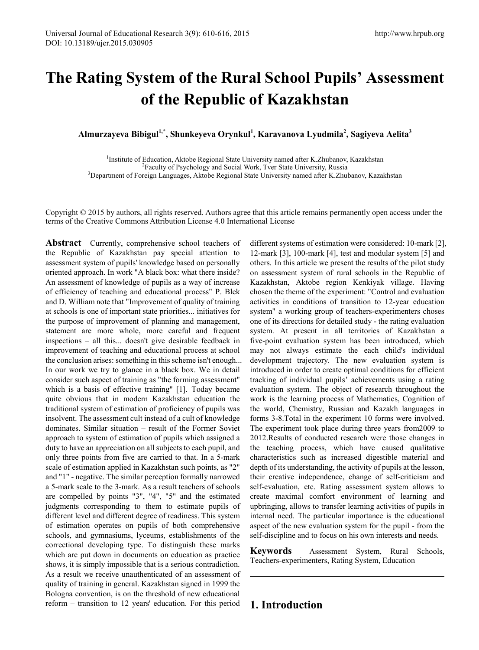# **The Rating System of the Rural School Pupils' Assessment of the Republic of Kazakhstan**

**Almurzayeva Bibigul1,\*, Shunkeyeva Orynkul1 , Karavanova Lyudmila<sup>2</sup> , Sagiyeva Aelita3**

<sup>1</sup>Institute of Education, Aktobe Regional State University named after K.Zhubanov, Kazakhstan  $\frac{2\text{Eocultu of Bexchology and Social Work. Tvar State University Bussie}}{2\text{Eocultu of Bexchology and Social Work. Tvar State University Bussie}}$ Faculty of Psychology and Social Work, Tver State University, Russia <sup>3</sup> Department of Foreign Languages, Aktobe Regional State University named after K.Zhubanov, Kazakhstan

Copyright  $\odot$  2015 by authors, all rights reserved. Authors agree that this article remains permanently open access under the terms of the Creative Commons Attribution License 4.0 International License

Abstract Currently, comprehensive school teachers of the Republic of Kazakhstan pay special attention to assessment system of pupils' knowledge based on personally oriented approach. In work "A black box: what there inside? An assessment of knowledge of pupils as a way of increase of efficiency of teaching and educational process" P. Blek and D. William note that "Improvement of quality of training at schools is one of important state priorities... initiatives for the purpose of improvement of planning and management, statement are more whole, more careful and frequent inspections – all this... doesn't give desirable feedback in improvement of teaching and educational process at school the conclusion arises: something in this scheme isn't enough... In our work we try to glance in a black box. We in detail consider such aspect of training as "the forming assessment" which is a basis of effective training" [1]. Today became quite obvious that in modern Kazakhstan education the traditional system of estimation of proficiency of pupils was insolvent. The assessment cult instead of a cult of knowledge dominates. Similar situation – result of the Former Soviet approach to system of estimation of pupils which assigned a duty to have an appreciation on all subjects to each pupil, and only three points from five are carried to that. In a 5-mark scale of estimation applied in Kazakhstan such points, as "2" and "1" - negative. The similar perception formally narrowed a 5-mark scale to the 3-mark. As a result teachers of schools are compelled by points "3", "4", "5" and the estimated judgments corresponding to them to estimate pupils of different level and different degree of readiness. This system of estimation operates on pupils of both comprehensive schools, and gymnasiums, lyceums, establishments of the correctional developing type. To distinguish these marks which are put down in documents on education as practice shows, it is simply impossible that is a serious contradiction. As a result we receive unauthenticated of an assessment of quality of training in general. Kazakhstan signed in 1999 the Bologna convention, is on the threshold of new educational reform – transition to 12 years' education. For this period

different systems of estimation were considered: 10-mark [2], 12-mark [3], 100-mark [4], test and modular system [5] and others. In this article we present the results of the pilot study on assessment system of rural schools in the Republic of Kazakhstan, Aktobe region Kenkiyak village. Having chosen the theme of the experiment: "Control and evaluation activities in conditions of transition to 12-year education system" a working group of teachers-experimenters choses one of its directions for detailed study - the rating evaluation system. At present in all territories of Kazakhstan a five-point evaluation system has been introduced, which may not always estimate the each child's individual development trajectory. The new evaluation system is introduced in order to create optimal conditions for efficient tracking of individual pupils' achievements using a rating evaluation system. The object of research throughout the work is the learning process of Mathematics, Cognition of the world, Chemistry, Russian and Kazakh languages in forms 3-8.Total in the experiment 10 forms were involved. The experiment took place during three years from2009 to 2012.Results of conducted research were those changes in the teaching process, which have caused qualitative characteristics such as increased digestible material and depth of its understanding, the activity of pupils at the lesson, their creative independence, change of self-criticism and self-evaluation, etc. Rating assessment system allows to create maximal comfort environment of learning and upbringing, allows to transfer learning activities of pupils in internal need. The particular importance is the educational aspect of the new evaluation system for the pupil - from the self-discipline and to focus on his own interests and needs.

**Keywords**Assessment System, Rural Schools, Teachers-experimenters, Rating System, Education

## **1. Introduction**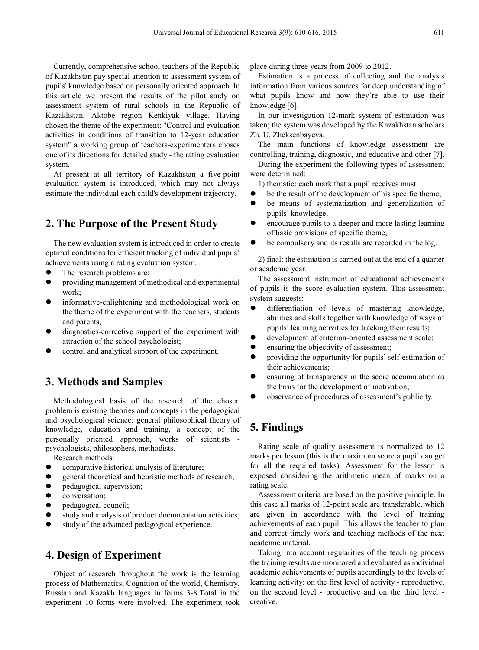Currently, comprehensive school teachers of the Republic of Kazakhstan pay special attention to assessment system of pupils' knowledge based on personally oriented approach. In this article we present the results of the pilot study on assessment system of rural schools in the Republic of Kazakhstan, Aktobe region Kenkiyak village. Having chosen the theme of the experiment: "Control and evaluation activities in conditions of transition to 12-year education system" a working group of teachers-experimenters choses one of its directions for detailed study - the rating evaluation system.

At present at all territory of Kazakhstan a five-point evaluation system is introduced, which may not always estimate the individual each child's development trajectory.

## **2. The Purpose of the Present Study**

The new evaluation system is introduced in order to create optimal conditions for efficient tracking of individual pupils' achievements using a rating evaluation system.

- The research problems are:
- providing management of methodical and experimental work;
- informative-enlightening and methodological work on the theme of the experiment with the teachers, students and parents;
- diagnostics-corrective support of the experiment with attraction of the school psychologist;
- control and analytical support of the experiment.

#### **3. Methods and Samples**

Methodological basis of the research of the chosen problem is existing theories and concepts in the pedagogical and psychological science: general philosophical theory of knowledge, education and training, a concept of the personally oriented approach, works of scientists psychologists, philosophers, methodists.

Research methods:

- comparative historical analysis of literature;
- general theoretical and heuristic methods of research;
- pedagogical supervision;
- conversation;
- pedagogical council;
- study and analysis of product documentation activities;
- study of the advanced pedagogical experience.

#### **4. Design of Experiment**

Object of research throughout the work is the learning process of Mathematics, Cognition of the world, Chemistry, Russian and Kazakh languages in forms 3-8.Total in the experiment 10 forms were involved. The experiment took place during three years from 2009 to 2012.

Estimation is a process of collecting and the analysis information from various sources for deep understanding of what pupils know and how they're able to use their knowledge [6].

In our investigation 12-mark system of estimation was taken; the system was developed by the Kazakhstan scholars Zh. U. Zheksenbayeva.

The main functions of knowledge assessment are controlling, training, diagnostic, and educative and other [7].

During the experiment the following types of assessment were determined:

- 1) thematic: each mark that a pupil receives must
- be the result of the development of his specific theme;
- be means of systematization and generalization of pupils' knowledge;
- encourage pupils to a deeper and more lasting learning of basic provisions of specific theme;
- be compulsory and its results are recorded in the log.

2) final: the estimation is carried out at the end of a quarter or academic year.

The assessment instrument of educational achievements of pupils is the score evaluation system. This assessment system suggests:

- differentiation of levels of mastering knowledge, abilities and skills together with knowledge of ways of pupils' learning activities for tracking their results;
- development of criterion-oriented assessment scale;
- ensuring the objectivity of assessment;
- providing the opportunity for pupils' self-estimation of their achievements;
- ensuring of transparency in the score accumulation as the basis for the development of motivation;
- observance of procedures of assessment's publicity.

## **5. Findings**

Rating scale of quality assessment is normalized to 12 marks per lesson (this is the maximum score a pupil can get for all the required tasks). Assessment for the lesson is exposed considering the arithmetic mean of marks on a rating scale.

Assessment criteria are based on the positive principle. In this case all marks of 12-point scale are transferable, which are given in accordance with the level of training achievements of each pupil. This allows the teacher to plan and correct timely work and teaching methods of the next academic material.

Taking into account regularities of the teaching process the training results are monitored and evaluated as individual academic achievements of pupils accordingly to the levels of learning activity: on the first level of activity - reproductive, on the second level - productive and on the third level creative.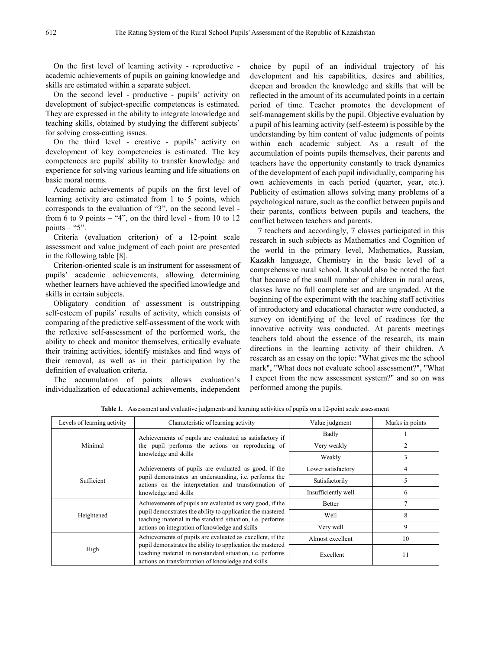On the first level of learning activity - reproductive academic achievements of pupils on gaining knowledge and skills are estimated within a separate subject.

On the second level - productive - pupils' activity on development of subject-specific competences is estimated. They are expressed in the ability to integrate knowledge and teaching skills, obtained by studying the different subjects' for solving cross-cutting issues.

On the third level - creative - pupils' activity on development of key competencies is estimated. The key competences are pupils' ability to transfer knowledge and experience for solving various learning and life situations on basic moral norms.

Academic achievements of pupils on the first level of learning activity are estimated from 1 to 5 points, which corresponds to the evaluation of "3", on the second level from 6 to 9 points – "4", on the third level - from 10 to 12 points  $-$  "5".

Criteria (evaluation criterion) of a 12-point scale assessment and value judgment of each point are presented in the following table [8].

Criterion-oriented scale is an instrument for assessment of pupils' academic achievements, allowing determining whether learners have achieved the specified knowledge and skills in certain subjects.

Obligatory condition of assessment is outstripping self-esteem of pupils' results of activity, which consists of comparing of the predictive self-assessment of the work with the reflexive self-assessment of the performed work, the ability to check and monitor themselves, critically evaluate their training activities, identify mistakes and find ways of their removal, as well as in their participation by the definition of evaluation criteria.

The accumulation of points allows evaluation's individualization of educational achievements, independent

choice by pupil of an individual trajectory of his development and his capabilities, desires and abilities, deepen and broaden the knowledge and skills that will be reflected in the amount of its accumulated points in a certain period of time. Teacher promotes the development of self-management skills by the pupil. Objective evaluation by a pupil of his learning activity (self-esteem) is possible by the understanding by him content of value judgments of points within each academic subject. As a result of the accumulation of points pupils themselves, their parents and teachers have the opportunity constantly to track dynamics of the development of each pupil individually, comparing his own achievements in each period (quarter, year, etc.). Publicity of estimation allows solving many problems of a psychological nature, such as the conflict between pupils and their parents, conflicts between pupils and teachers, the conflict between teachers and parents.

7 teachers and accordingly, 7 classes participated in this research in such subjects as Mathematics and Cognition of the world in the primary level, Mathematics, Russian, Kazakh language, Chemistry in the basic level of a comprehensive rural school. It should also be noted the fact that because of the small number of children in rural areas, classes have no full complete set and are ungraded. At the beginning of the experiment with the teaching staff activities of introductory and educational character were conducted, a survey on identifying of the level of readiness for the innovative activity was conducted. At parents meetings teachers told about the essence of the research, its main directions in the learning activity of their children. A research as an essay on the topic: "What gives me the school mark", "What does not evaluate school assessment?", "What I expect from the new assessment system?" and so on was performed among the pupils.

| Levels of learning activity | Characteristic of learning activity                                                                                                                                                 | Value judgment      | Marks in points |  |
|-----------------------------|-------------------------------------------------------------------------------------------------------------------------------------------------------------------------------------|---------------------|-----------------|--|
| Minimal                     | Achievements of pupils are evaluated as satisfactory if                                                                                                                             | Badly               |                 |  |
|                             | the pupil performs the actions on reproducing of                                                                                                                                    | Very weakly         |                 |  |
|                             | knowledge and skills                                                                                                                                                                | Weakly              | 3               |  |
| Sufficient                  | Achievements of pupils are evaluated as good, if the                                                                                                                                | Lower satisfactory  | 4               |  |
|                             | pupil demonstrates an understanding, <i>i.e.</i> performs the<br>actions on the interpretation and transformation of                                                                | Satisfactorily      | 5               |  |
|                             | knowledge and skills                                                                                                                                                                | Insufficiently well | 6               |  |
| Heightened                  | Achievements of pupils are evaluated as very good, if the                                                                                                                           | <b>Better</b>       |                 |  |
|                             | pupil demonstrates the ability to application the mastered<br>teaching material in the standard situation, <i>i.e.</i> performs                                                     | Well                | 8               |  |
|                             | actions on integration of knowledge and skills                                                                                                                                      | Very well           | 9               |  |
| High                        | Achievements of pupils are evaluated as excellent, if the                                                                                                                           | Almost excellent    | 10              |  |
|                             | pupil demonstrates the ability to application the mastered<br>teaching material in nonstandard situation, <i>i.e.</i> performs<br>actions on transformation of knowledge and skills | Excellent           | 11              |  |

**Table 1.** Assessment and evaluative judgments and learning activities of pupils on a 12-point scale assessment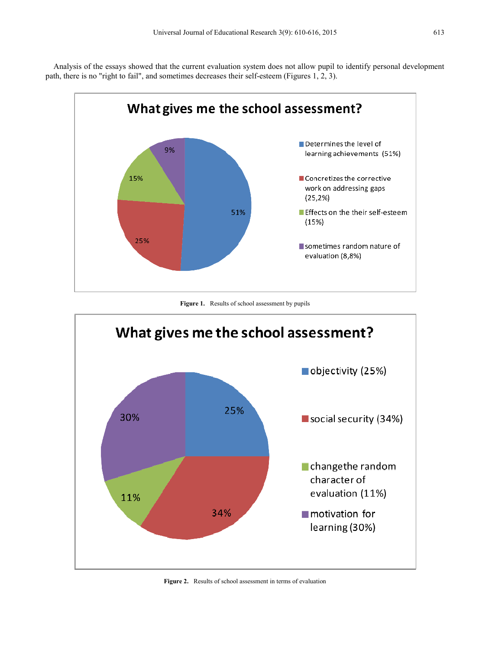Analysis of the essays showed that the current evaluation system does not allow pupil to identify personal development path, there is no "right to fail", and sometimes decreases their self-esteem (Figures 1, 2, 3).



Figure 1. Results of school assessment by pupils



**Figure 2.** Results of school assessment in terms of evaluation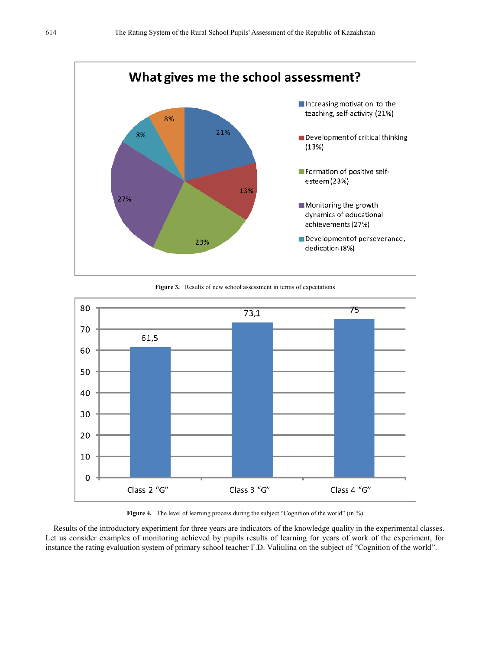

**Figure 3.** Results of new school assessment in terms of expectations



Figure 4. The level of learning process during the subject "Cognition of the world" (in %)

Results of the introductory experiment for three years are indicators of the knowledge quality in the experimental classes. Let us consider examples of monitoring achieved by pupils results of learning for years of work of the experiment, for instance the rating evaluation system of primary school teacher F.D. Valiulina on the subject of "Cognition of the world".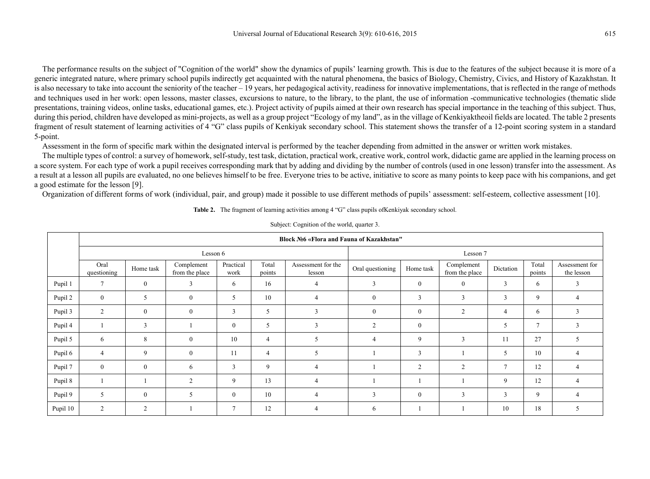The performance results on the subject of "Cognition of the world" show the dynamics of pupils' learning growth. This is due to the features of the subject because it is more of a generic integrated nature, where primary school pupils indirectly get acquainted with the natural phenomena, the basics of Biology, Chemistry, Civics, and History of Kazakhstan. It is also necessary to take into account the seniority of the teacher – 19 years, her pedagogical activity, readiness for innovative implementations, that is reflected in the range of methods and techniques used in her work: open lessons, master classes, excursions to nature, to the library, to the plant, the use of information -communicative technologies (thematic slide presentations, training videos, online tasks, educational games, etc.). Project activity of pupils aimed at their own research has special importance in the teaching of this subject. Thus, during this period, children have developed as mini-projects, as well as a group project "Ecology of my land", as in the village of Kenkiyaktheoil fields are located. The table 2 presents fragment of result statement of learning activities of 4 "G" class pupils of Kenkiyak secondary school. This statement shows the transfer of a 12-point scoring system in a standard 5-point.

Assessment in the form of specific mark within the designated interval is performed by the teacher depending from admitted in the answer or written work mistakes.

The multiple types of control: a survey of homework, self-study, test task, dictation, practical work, creative work, control work, didactic game are applied in the learning process on a score system. For each type of work a pupil receives corresponding mark that by adding and dividing by the number of controls (used in one lesson) transfer into the assessment. As a result at a lesson all pupils are evaluated, no one believes himself to be free. Everyone tries to be active, initiative to score as many points to keep pace with his companions, and get a good estimate for the lesson [9].

Organization of different forms of work (individual, pair, and group) made it possible to use different methods of pupils' assessment: self-esteem, collective assessment [10].

|          | Block No6 «Flora and Fauna of Kazakhstan" |                |                              |                   |                 |                              |                  |                  |                              |                         |                 |                              |  |  |
|----------|-------------------------------------------|----------------|------------------------------|-------------------|-----------------|------------------------------|------------------|------------------|------------------------------|-------------------------|-----------------|------------------------------|--|--|
|          | Lesson 6                                  |                |                              |                   |                 |                              | Lesson 7         |                  |                              |                         |                 |                              |  |  |
|          | Oral<br>questioning                       | Home task      | Complement<br>from the place | Practical<br>work | Total<br>points | Assessment for the<br>lesson | Oral questioning | Home task        | Complement<br>from the place | Dictation               | Total<br>points | Assessment for<br>the lesson |  |  |
| Pupil 1  | $7\phantom{.0}$                           | $\mathbf{0}$   | 3                            | 6                 | 16              | 4                            | 3                | $\mathbf{0}$     | $\overline{0}$               | 3                       | 6               | $\mathbf{3}$                 |  |  |
| Pupil 2  | $\mathbf{0}$                              | 5              | $\mathbf{0}$                 | 5                 | 10              | 4                            | $\boldsymbol{0}$ | 3                | 3                            | $\overline{\mathbf{3}}$ | 9               | 4                            |  |  |
| Pupil 3  | $\overline{2}$                            | $\mathbf{0}$   | $\bf{0}$                     | $\mathbf{3}$      | 5               | 3                            | $\mathbf{0}$     | $\mathbf{0}$     | $\overline{2}$               | $\overline{4}$          | 6               | $\overline{3}$               |  |  |
| Pupil 4  |                                           | $\overline{3}$ |                              | $\overline{0}$    | 5               | 3                            | 2                | $\boldsymbol{0}$ |                              | 5                       | $\tau$          | $\overline{3}$               |  |  |
| Pupil 5  | 6                                         | 8              | $\mathbf{0}$                 | 10                | $\overline{4}$  | 5                            | $\overline{4}$   | 9                | 3                            | 11                      | 27              | 5                            |  |  |
| Pupil 6  | $\overline{4}$                            | 9              | $\mathbf{0}$                 | 11                | $\overline{4}$  | 5                            |                  | 3                |                              | 5                       | 10              | 4                            |  |  |
| Pupil 7  | $\mathbf{0}$                              | $\mathbf{0}$   | 6                            | $\overline{3}$    | 9               | $\overline{4}$               |                  | $\overline{2}$   | $\overline{c}$               | $7\phantom{.0}$         | 12              |                              |  |  |
| Pupil 8  |                                           |                | 2                            | 9                 | 13              | $\overline{4}$               |                  |                  |                              | 9                       | 12              | $\overline{4}$               |  |  |
| Pupil 9  | 5                                         | $\mathbf{0}$   | 5                            | $\overline{0}$    | 10              | $\overline{4}$               | $\overline{3}$   | $\mathbf{0}$     | 3                            | 3                       | 9               | $\overline{4}$               |  |  |
| Pupil 10 | 2                                         | 2              |                              | $\tau$            | 12              | 4                            | 6                |                  |                              | 10                      | 18              | 5                            |  |  |

**Table 2.** The fragment of learning activities among 4 "G" class pupils ofKenkiyak secondary school. Subject: Cognition of the world, quarter 3.